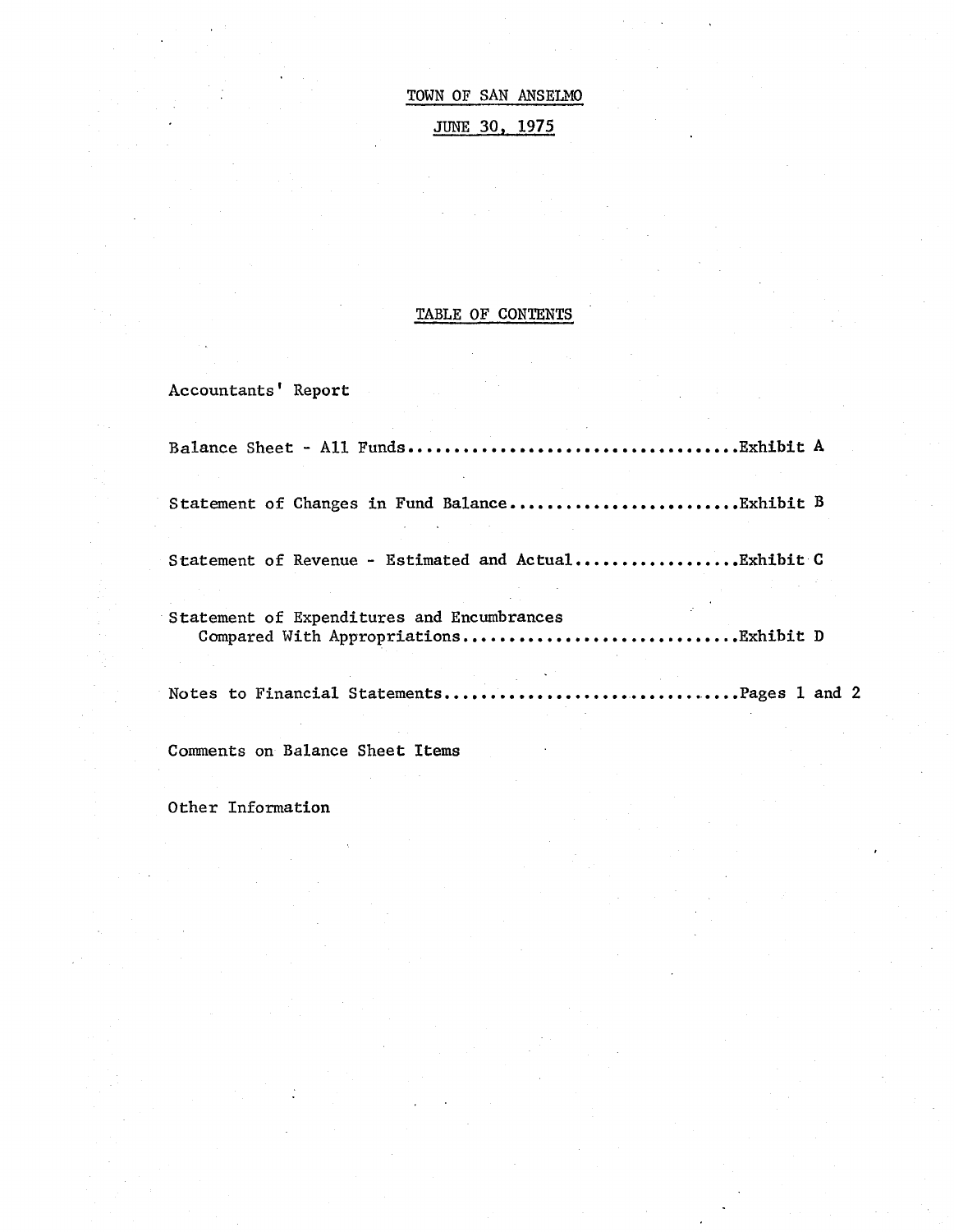TOWN OF SAN ANSELMO JUNE 30, 1975

# TABLE OF CONTENTS

Accountants' Report

| Statement of Expenditures and Encumbrances |  |
|--------------------------------------------|--|
| Notes to Financial StatementsPages 1 and 2 |  |

Comments on Balance Sheet Items

Other Information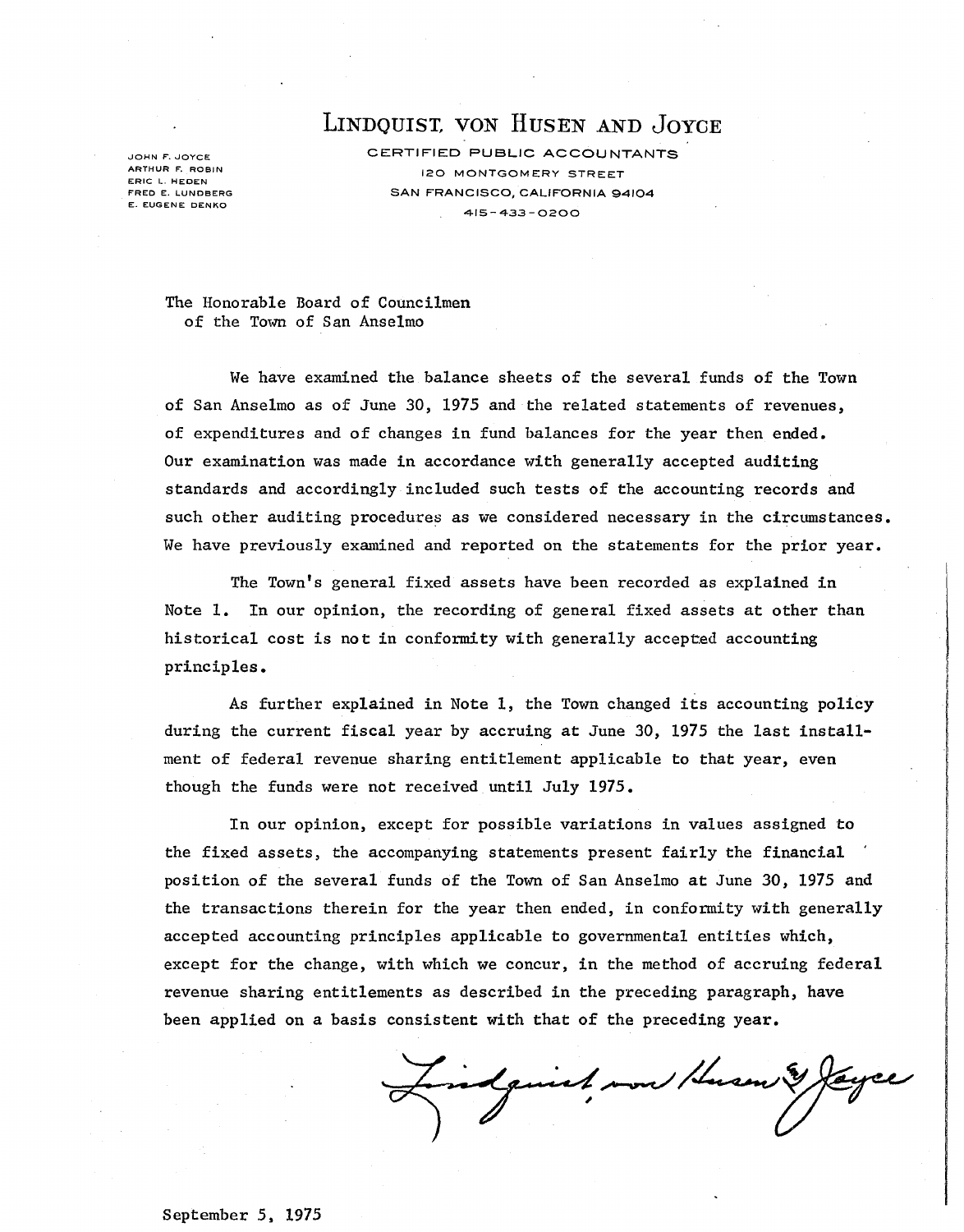LINDQUIST, VON HUSEN AND JOYCE

JOHN F. JOYCE **ARTHUR F. ROBIN**  ERIC L. HEDEN FRED E. LUNDBERG E. EUGENE DENKO

CERTIFIED PUBLIC ACCOUNTANTS 120 MONTGOMERY STREET SAN FRANCISCO, CALIFORNIA 94104 415-433-0200

The Honorable Board of Councilmen of the Town of San Anselmo

We have examined the balance sheets of the several funds of the Town of San Anselmo as of June 30, 1975 and the related statements of revenues, of expenditures and of changes in fund balances for the year then ended. Our examination was made in accordance with generally accepted auditing standards and accordingly included such tests of the accounting records and such other auditing procedures as we considered necessary in the circumstances. We have previously examined and reported on the statements for the prior year.

The Town's general fixed assets have been recorded as explained in Note 1. In our opinion, the recording of general fixed assets at other than historical cost is not in conformity with generally accepted accounting principles.

As further explained in Note 1, the Town changed its accounting policy during the current fiscal year by accruing at June 30, 1975 the last installment of federal revenue sharing entitlement applicable to that year, even though the funds were not received until July 1975.

In our opinion, except for possible variations in values assigned to the fixed assets, the accompanying statements present fairly the financial position of the several funds of the Town of San Anselmo at June 30, 1975 and the transactions therein for the year then ended, in conformity with generally accepted accounting principles applicable to governmental entities which, except for the change, with which we concur, in the method of accruing federal revenue sharing entitlements as described in the preceding paragraph, have been applied on a basis consistent with that of the preceding year.

indjuint now Hum !

September 5. 1975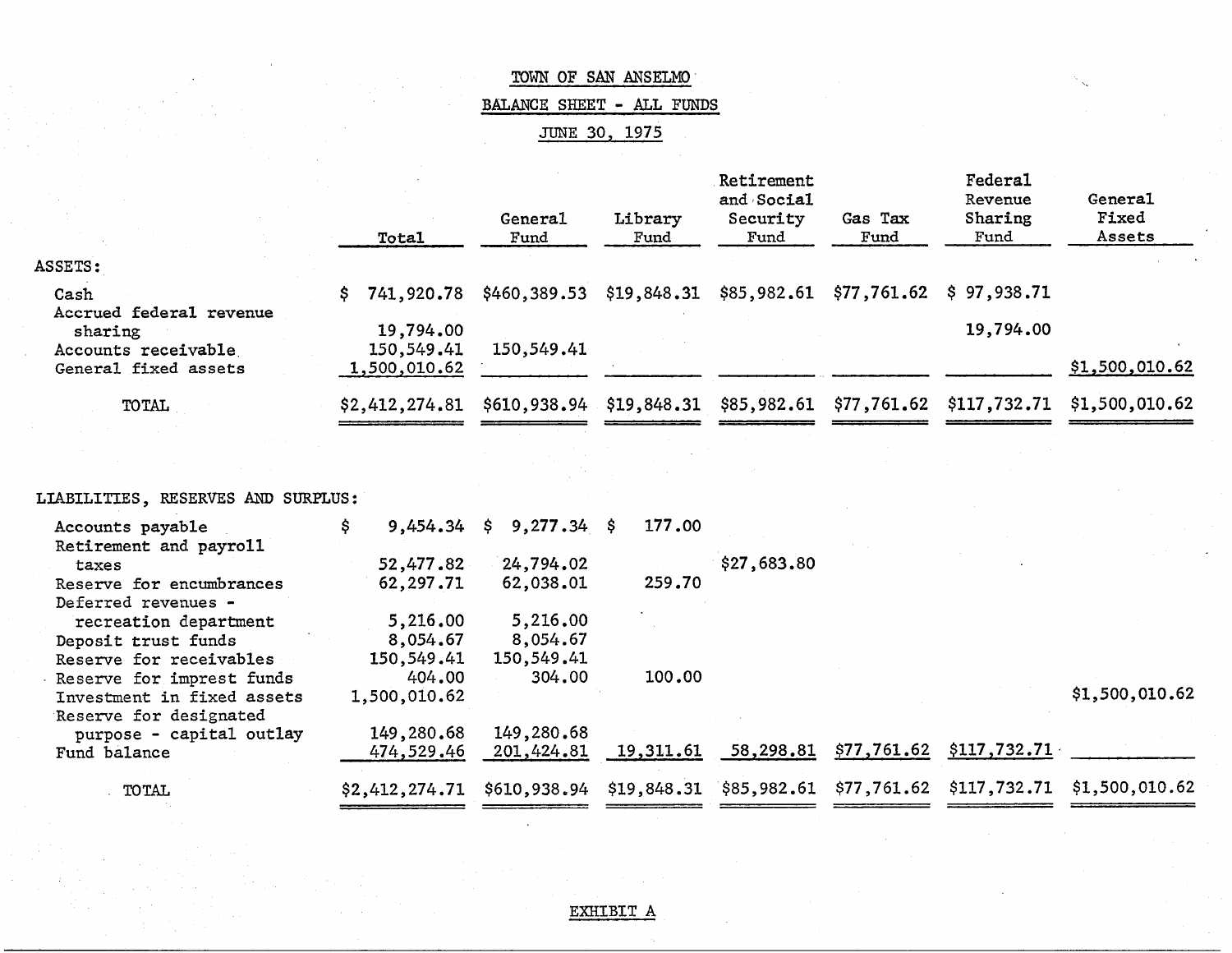|                           |  | TOWN OF SAN ANSELMO  |  |
|---------------------------|--|----------------------|--|
| BALANCE SHEET - ALL FUNDS |  |                      |  |
|                           |  | <u>JUNE 30, 1975</u> |  |

|                                      | Total            | General<br>Fund          | Library<br>Fund | Retirement<br>and Social<br>Security<br>Fund | Gas Tax<br>Fund | Federal<br>Revenue<br>Sharing<br>Fund  | General<br>Fixed<br>Assets                                                         |
|--------------------------------------|------------------|--------------------------|-----------------|----------------------------------------------|-----------------|----------------------------------------|------------------------------------------------------------------------------------|
| ASSETS:                              |                  |                          |                 |                                              |                 |                                        |                                                                                    |
| Cash                                 | 741,920,78<br>S. | \$460,389.53 \$19,848.31 |                 |                                              |                 | $$85,982.61$ $$77,761.62$ $$97,938.71$ |                                                                                    |
| Accrued federal revenue<br>sharing   | 19,794.00        |                          |                 |                                              |                 | 19,794.00                              |                                                                                    |
| Accounts receivable                  | 150,549.41       | 150,549.41               |                 |                                              |                 |                                        |                                                                                    |
| General fixed assets                 | 1,500,010.62     |                          |                 |                                              |                 |                                        | \$1,500,010.62                                                                     |
| <b>TOTAL</b>                         | \$2,412,274.81   |                          |                 |                                              |                 |                                        | $$610,938.94$ $$19,848.31$ $$85,982.61$ $$77,761.62$ $$117,732.71$ $$1,500,010.62$ |
|                                      |                  |                          |                 |                                              |                 |                                        |                                                                                    |
| RESERVES AND SURPLUS.<br>LTARTLITTES |                  |                          |                 |                                              |                 |                                        |                                                                                    |

| LIABILITIES, RESERVES AND SURPLUS: |  |  |
|------------------------------------|--|--|
|                                    |  |  |

| Accounts payable           | 9,454.34       | $9,277.34$ \$<br>S. | 177.00    |             |             |              |                                                                      |
|----------------------------|----------------|---------------------|-----------|-------------|-------------|--------------|----------------------------------------------------------------------|
| Retirement and payroll     |                |                     |           |             |             |              |                                                                      |
| taxes                      | 52,477.82      | 24,794.02           |           | \$27,683.80 |             |              |                                                                      |
| Reserve for encumbrances   | 62,297.71      | 62,038.01           | 259.70    |             |             |              |                                                                      |
| Deferred revenues -        |                |                     |           |             |             |              |                                                                      |
| recreation department      | 5,216.00       | 5,216.00            |           |             |             |              |                                                                      |
| Deposit trust funds        | 8,054.67       | 8,054.67            |           |             |             |              |                                                                      |
| Reserve for receivables    | 150,549.41     | 150,549.41          |           |             |             |              |                                                                      |
| Reserve for imprest funds  | 404.00         | 304.00              | 100.00    |             |             |              |                                                                      |
| Investment in fixed assets | 1,500,010.62   |                     |           |             |             |              | \$1,500,010.62                                                       |
| Reserve for designated     |                |                     |           |             |             |              |                                                                      |
| purpose - capital outlay   | 149,280.68     | 149,280.68          |           |             |             |              |                                                                      |
| Fund balance               | 474,529.46     | 201,424.81          | 19,311.61 | 58,298.81   | \$77,761.62 | \$117,732.71 |                                                                      |
| TOTAL                      | \$2,412,274,71 | \$610,938.94        |           |             |             |              | $$19,848.31$ $$85,982.61$ $$77,761.62$ $$117,732.71$ $$1,500,010.62$ |
|                            |                |                     |           |             |             |              |                                                                      |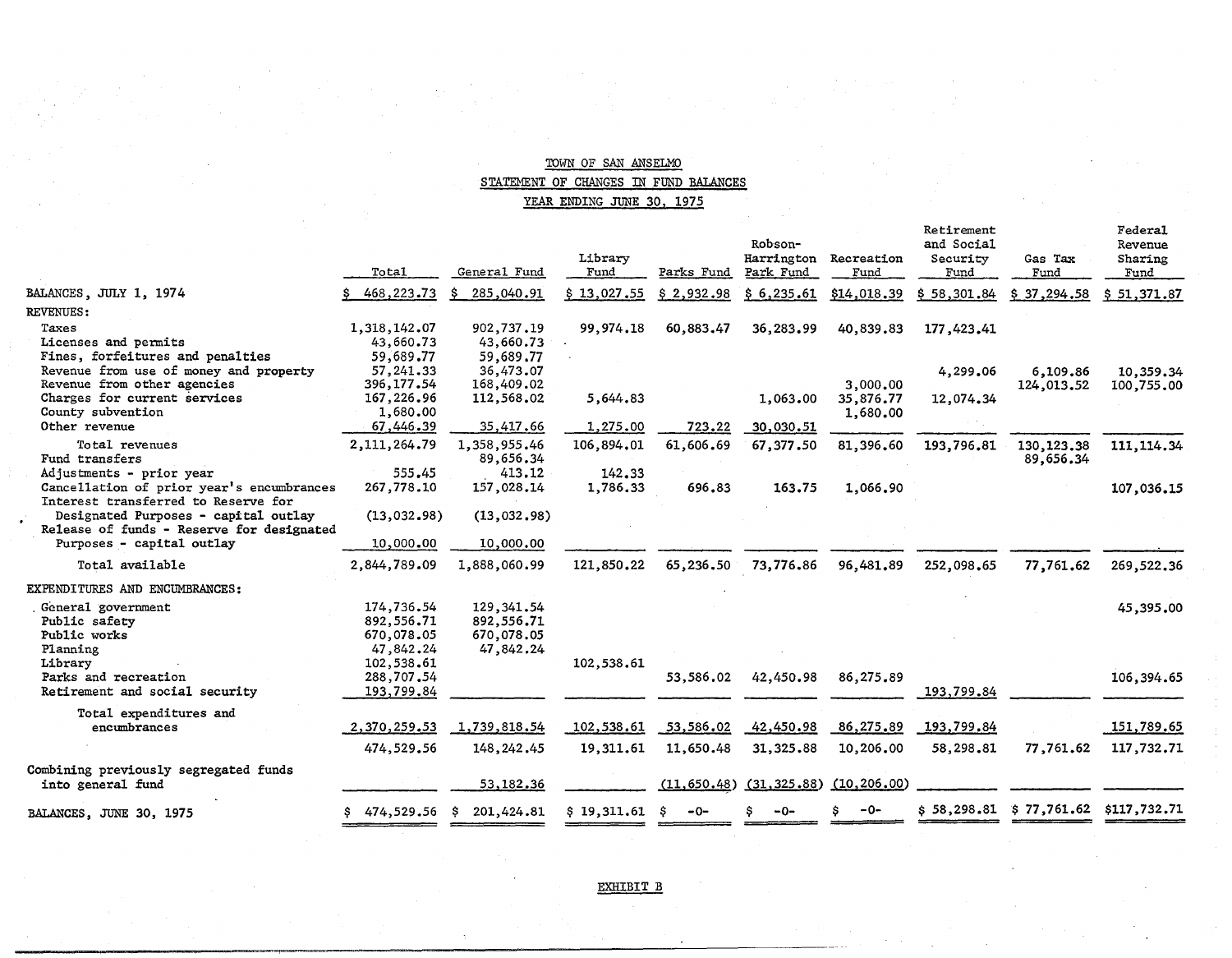### TOWN OF SAN ANSELMO STATEMENT OF CHANGES IN FUND BALANCES YEAR ENDING JUNE 30, 1975

|                                                                        | Total        | General Fund     | Library<br>Fund | Parks Fund   | Robson-<br>Harrington<br>Park Fund | Recreation<br>Fund | Retirement<br>and Social<br>Security<br>Fund | Gas Tax<br>Fund | Federal<br>Revenue<br>Sharing<br>Fund |
|------------------------------------------------------------------------|--------------|------------------|-----------------|--------------|------------------------------------|--------------------|----------------------------------------------|-----------------|---------------------------------------|
| BALANCES, JULY 1, 1974                                                 | 468,223.73   | Ŝ.<br>285,040.91 | \$13,027,55     | \$2,932.98   | \$6,235.61                         | \$14,018.39        | \$58,301.84                                  | \$37,294,58     | \$51,371.87                           |
| <b>REVENUES:</b>                                                       |              |                  |                 |              |                                    |                    |                                              |                 |                                       |
| Taxes                                                                  | 1,318,142.07 | 902,737.19       | 99,974.18       | 60,883.47    | 36,283.99                          | 40,839.83          | 177,423.41                                   |                 |                                       |
| Licenses and permits                                                   | 43,660.73    | 43,660.73        |                 |              |                                    |                    |                                              |                 |                                       |
| Fines, forfeitures and penalties                                       | 59,689.77    | 59,689.77        |                 |              |                                    |                    |                                              |                 |                                       |
| Revenue from use of money and property                                 | 57, 241.33   | 36,473.07        |                 |              |                                    |                    | 4,299.06                                     | 6,109.86        | 10,359.34                             |
| Revenue from other agencies                                            | 396,177.54   | 168,409.02       |                 |              |                                    | 3,000.00           |                                              | 124,013.52      | 100,755.00                            |
| Charges for current services                                           | 167,226.96   | 112,568.02       | 5,644.83        |              | 1,063.00                           | 35,876.77          | 12,074.34                                    |                 |                                       |
| County subvention                                                      | 1,680.00     |                  |                 |              |                                    | 1,680.00           |                                              |                 |                                       |
| Other revenue                                                          | 67,446.39    | 35,417.66        | 1,275.00        | 723.22       | 30,030.51                          |                    |                                              |                 |                                       |
| Total revenues                                                         | 2,111,264.79 | 1,358,955.46     | 106,894,01      | 61,606.69    | 67,377.50                          | 81,396.60          | 193,796.81                                   | 130, 123, 38    | 111, 114.34                           |
| Fund transfers                                                         |              | 89,656.34        |                 |              |                                    |                    |                                              | 89,656.34       |                                       |
| Adjustments - prior year                                               | 555.45       | 413.12           | 142.33          |              |                                    |                    |                                              |                 |                                       |
| Cancellation of prior year's encumbrances                              | 267,778.10   | 157,028.14       | 1,786.33        | 696.83       | 163.75                             | 1,066.90           |                                              |                 | 107,036.15                            |
| Interest transferred to Reserve for                                    |              |                  |                 |              |                                    |                    |                                              |                 |                                       |
| Designated Purposes - capital outlay                                   | (13,032.98)  | (13,032,98)      |                 |              |                                    |                    |                                              |                 |                                       |
| Release of funds - Reserve for designated<br>Purposes - capital outlay |              |                  |                 |              |                                    |                    |                                              |                 |                                       |
|                                                                        | 10,000.00    | 10,000.00        |                 |              |                                    |                    |                                              |                 |                                       |
| Total available                                                        | 2,844,789.09 | 1,888,060.99     | 121,850.22      | 65,236.50    | 73,776.86                          | 96,481.89          | 252,098,65                                   | 77,761.62       | 269,522.36                            |
| EXPENDITURES AND ENCUMBRANCES:                                         |              |                  |                 |              |                                    |                    |                                              |                 |                                       |
| General government                                                     | 174,736.54   | 129, 341, 54     |                 |              |                                    |                    |                                              |                 | 45,395.00                             |
| Public safety                                                          | 892,556.71   | 892,556.71       |                 |              |                                    |                    |                                              |                 |                                       |
| Public works                                                           | 670,078.05   | 670,078.05       |                 |              |                                    |                    |                                              |                 |                                       |
| Planning                                                               | 47,842.24    | 47,842.24        |                 |              |                                    |                    |                                              |                 |                                       |
| Library                                                                | 102,538.61   |                  | 102,538.61      |              |                                    |                    |                                              |                 |                                       |
| Parks and recreation                                                   | 288,707.54   |                  |                 | 53,586.02    | 42,450.98                          | 86,275.89          |                                              |                 | 106,394.65                            |
| Retirement and social security                                         | 193,799.84   |                  |                 |              |                                    |                    | 193,799.84                                   |                 |                                       |
| Total expenditures and                                                 |              |                  |                 |              |                                    |                    |                                              |                 |                                       |
| encumbrances                                                           | 2,370,259.53 | 1,739,818.54     | 102,538.61      | 53,586.02    | 42,450.98                          | 86,275.89          | 193,799.84                                   |                 | 151,789.65                            |
|                                                                        | 474,529.56   |                  | 19,311.61       | 11,650.48    | 31, 325.88                         | 10,206.00          | 58,298.81                                    | 77,761.62       | 117,732.71                            |
|                                                                        |              | 148, 242.45      |                 |              |                                    |                    |                                              |                 |                                       |
| Combining previously segregated funds                                  |              |                  |                 |              |                                    |                    |                                              |                 |                                       |
| into general fund                                                      |              | 53,182.36        |                 | (11, 650.48) | (31, 325.88)                       | (10, 206.00)       |                                              |                 |                                       |
| BALANCES, JUNE 30, 1975                                                | \$474,529.56 | 201,424.81<br>-S | \$19,311.61     | -0-<br>S.    | -0-                                | $-0-$              | \$58.298.81                                  | \$77.761.62     | \$117,732,71                          |
|                                                                        |              |                  |                 |              |                                    |                    |                                              |                 |                                       |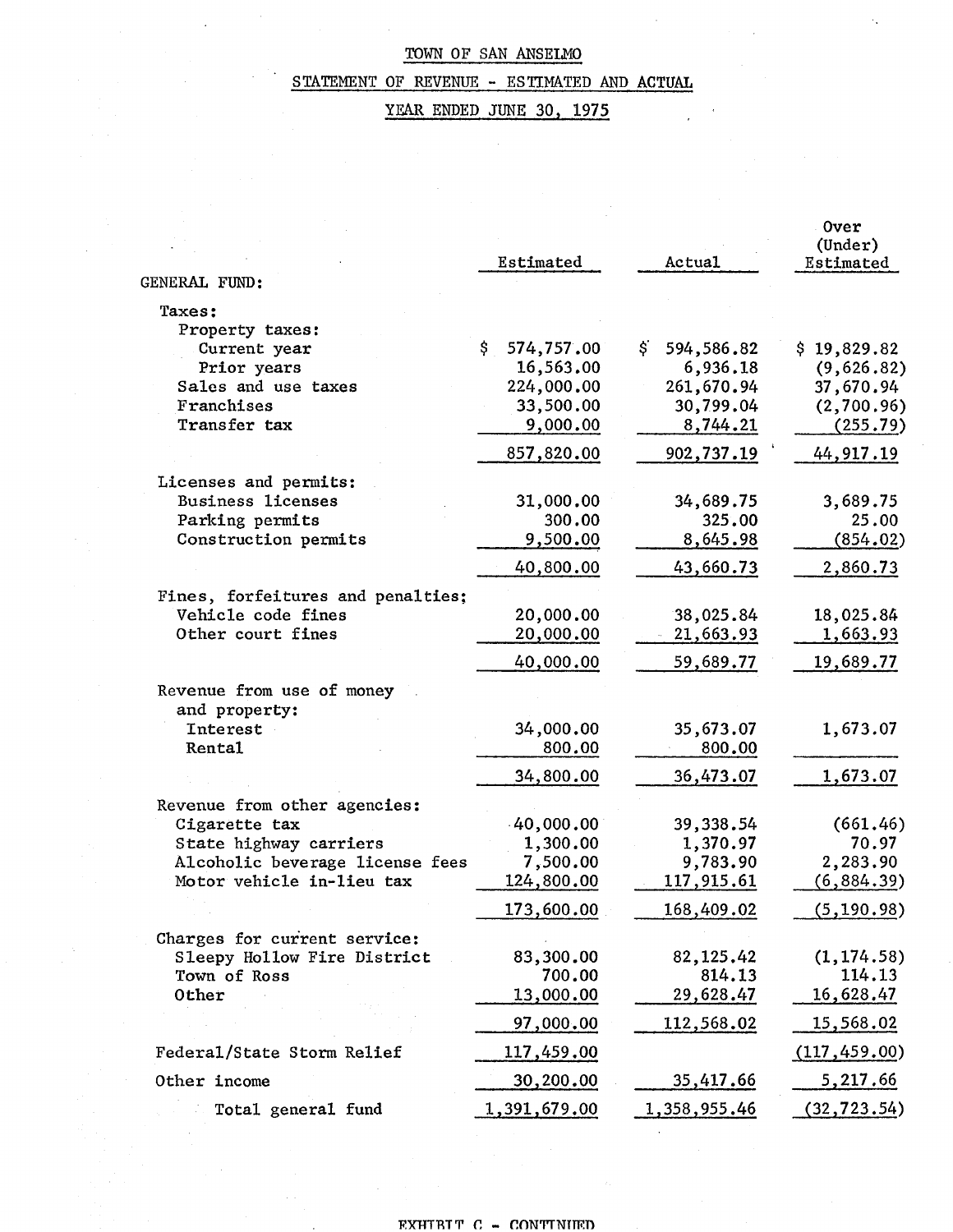# STATEMENT OF REVENUE - ESTIMATED AND ACTUAL

YEAR ENDED JUNE 30, 1975

|                                            | Estimated               | Actual                       | <b>Over</b><br>(Under)<br>Estimated |
|--------------------------------------------|-------------------------|------------------------------|-------------------------------------|
| GENERAL FUND:                              |                         |                              |                                     |
| Taxes:                                     |                         |                              |                                     |
| Property taxes:                            | \$                      |                              |                                     |
| Current year<br>Prior years                | 574,757.00<br>16,563.00 | \$<br>594,586.82<br>6,936.18 | \$19,829.82<br>(9,626.82)           |
| Sales and use taxes                        | 224,000.00              | 261,670.94                   | 37,670.94                           |
| Franchises                                 | 33,500.00               | 30,799.04                    | (2,700.96)                          |
| Transfer tax                               | 9,000.00                | 8,744.21                     | (255.79)                            |
|                                            | 857,820.00              | 902,737.19                   | 44, 917. 19                         |
| Licenses and permits:                      |                         |                              |                                     |
| <b>Business licenses</b>                   | 31,000.00               | 34,689.75                    | 3,689.75                            |
| Parking permits                            | 300.00                  | 325.00                       | 25.00                               |
| Construction permits                       | 9,500.00                | 8,645.98                     | (854.02)                            |
|                                            | 40,800.00               | 43,660.73                    | 2,860.73                            |
| Fines, forfeitures and penalties;          |                         |                              |                                     |
| Vehicle code fines<br>Other court fines    | 20,000.00<br>20,000.00  | 38,025.84<br>21,663.93       | 18,025.84                           |
|                                            |                         |                              | 1,663.93                            |
|                                            | 40,000.00               | 59,689.77                    | 19,689.77                           |
| Revenue from use of money<br>and property: |                         |                              |                                     |
| <b>Interest</b>                            | 34,000.00               | 35,673.07                    | 1,673.07                            |
| Rental                                     | 800.00                  | 800.00                       |                                     |
|                                            | 34,800.00               | 36,473.07                    | 1,673.07                            |
| Revenue from other agencies:               |                         |                              |                                     |
| Cigarette tax                              | 40,000.00               | 39,338.54                    | (661.46)                            |
| State highway carriers                     | 1,300.00                | 1,370.97                     | 70.97                               |
| Alcoholic beverage license fees            | 7,500.00                | 9,783.90                     | 2,283.90                            |
| Motor vehicle in-lieu tax                  | 124,800.00              | 117,915.61                   | (6, 884.39)                         |
|                                            | 173,600.00              | 168,409.02                   | (5, 190.98)                         |
| Charges for current service:               |                         |                              |                                     |
| Sleepy Hollow Fire District                | 83,300.00               | 82, 125.42                   | (1, 174.58)                         |
| Town of Ross                               | 700.00                  | 814.13                       | 114.13                              |
| Other                                      | 13,000.00               | 29,628.47                    | 16,628.47                           |
|                                            | 97,000.00               | 112,568.02                   | 15,568.02                           |
| Federal/State Storm Relief                 | 117,459.00              |                              | (117, 459.00)                       |
| Other income                               | 30,200.00               | 35,417.66                    | <u>5,217.66</u>                     |
| Total general fund                         | 1,391,679.00            | 1,358,955.46                 | (32, 723.54)                        |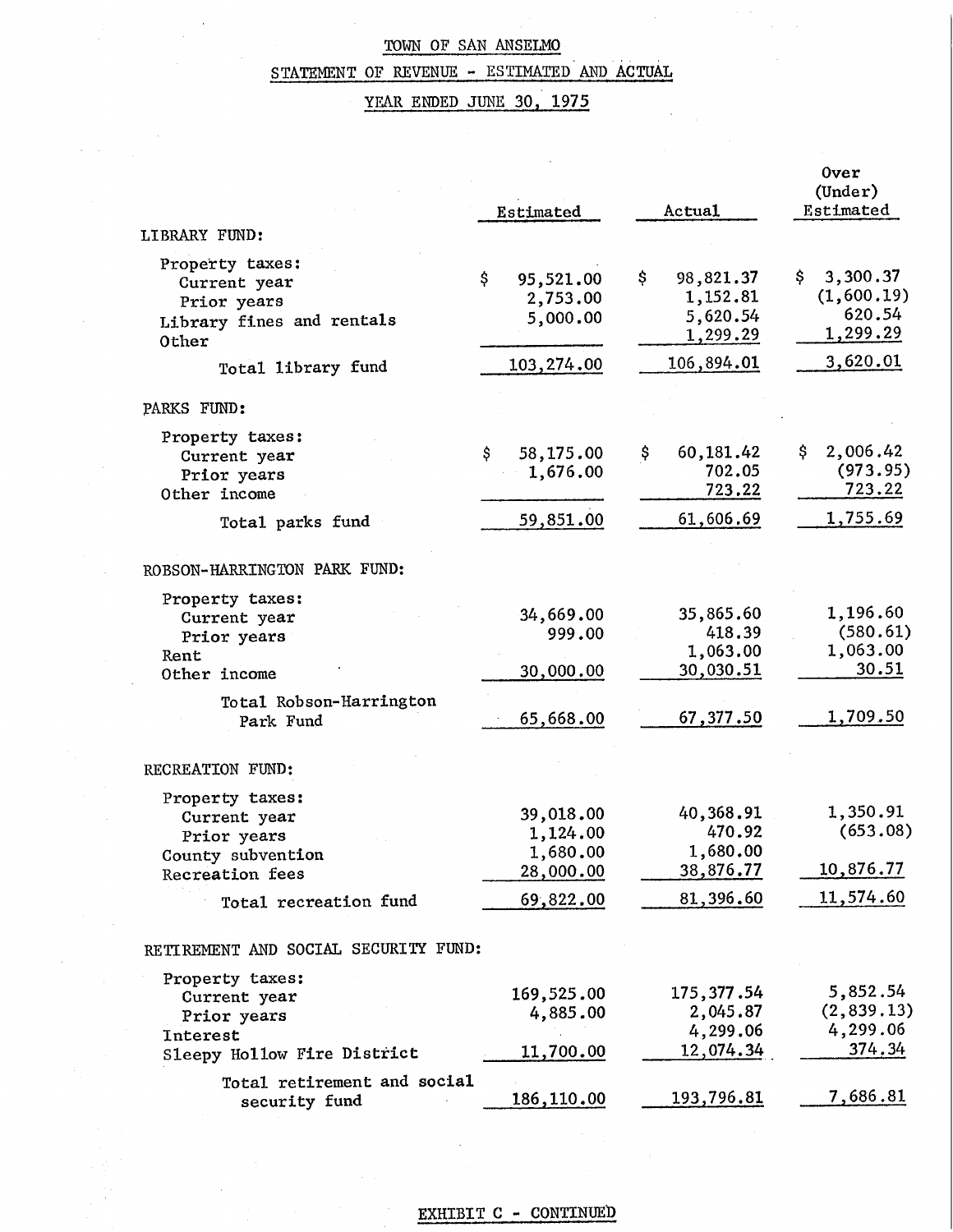# STATEMENT OF REVENUE - ESTIMATED AND ACTUAL

 $\epsilon = \epsilon$ 

# YEAR ENDED JUNE 30, 1975

|                                                                                                                 | Estimated                                                   | Actual                                                    | <b>Over</b><br>(Under)<br>Estimated                |
|-----------------------------------------------------------------------------------------------------------------|-------------------------------------------------------------|-----------------------------------------------------------|----------------------------------------------------|
| LIBRARY FUND:                                                                                                   |                                                             |                                                           |                                                    |
| Property taxes:<br>Current year<br>Prior years<br>Library fines and rentals<br>Other                            | \$<br>95,521.00<br>2,753.00<br>5,000.00                     | 98,821.37<br>\$<br>1,152.81<br>5,620.54<br>1,299.29       | 3,300.37<br>Ş.<br>(1,600.19)<br>620.54<br>1,299.29 |
| Total library fund                                                                                              | 103,274.00                                                  | 106,894.01                                                | 3,620.01                                           |
| PARKS FUND:                                                                                                     |                                                             |                                                           |                                                    |
| Property taxes:<br>Current year<br>Prior years<br>Other income                                                  | \$.<br>58,175.00<br>1,676.00                                | 60,181.42<br>\$<br>702.05<br>723.22                       | \$.<br>2,006.42<br>(973.95)<br>723.22              |
| Total parks fund                                                                                                | 59,851.00                                                   | 61,606.69                                                 | 1,755.69                                           |
| ROBSON-HARRINGTON PARK FUND:                                                                                    |                                                             |                                                           |                                                    |
| Property taxes:<br>Current year<br>Prior years<br>Rent<br>Other income                                          | 34,669.00<br>999.00<br>30,000.00                            | 35,865.60<br>418.39<br>1,063.00<br>30,030.51              | 1,196.60<br>(580.61)<br>1,063.00<br><u>30.51</u>   |
| Total Robson-Harrington<br>Park Fund                                                                            | 65,668.00                                                   | 67,377.50                                                 | <u>1,709.50</u>                                    |
| RECREATION FUND:                                                                                                |                                                             |                                                           |                                                    |
| Property taxes:<br>Current year<br>Prior years<br>County subvention<br>Recreation fees<br>Total recreation fund | 39,018.00<br>1,124.00<br>1,680.00<br>28,000.00<br>69,822.00 | 40,368.91<br>470.92<br>1,680.00<br>38,876.77<br>81,396.60 | 1,350.91<br>(653.08)<br>10,876.77<br>11,574.60     |
| RETIREMENT AND SOCIAL SECURITY FUND:                                                                            |                                                             |                                                           |                                                    |
| Property taxes:<br>Current year<br>Prior years<br><b>Interest</b><br>Sleepy Hollow Fire District                | 169,525.00<br>4,885.00<br>11,700.00                         | 175, 377.54<br>2,045.87<br>4,299.06<br>12,074.34          | 5,852.54<br>(2, 839.13)<br>4,299.06<br>374.34      |
| Total retirement and social<br>security fund                                                                    | 186,110.00                                                  | 193,796.81                                                | <u>7,686.81</u>                                    |

# EXHIBIT C - CONTINUED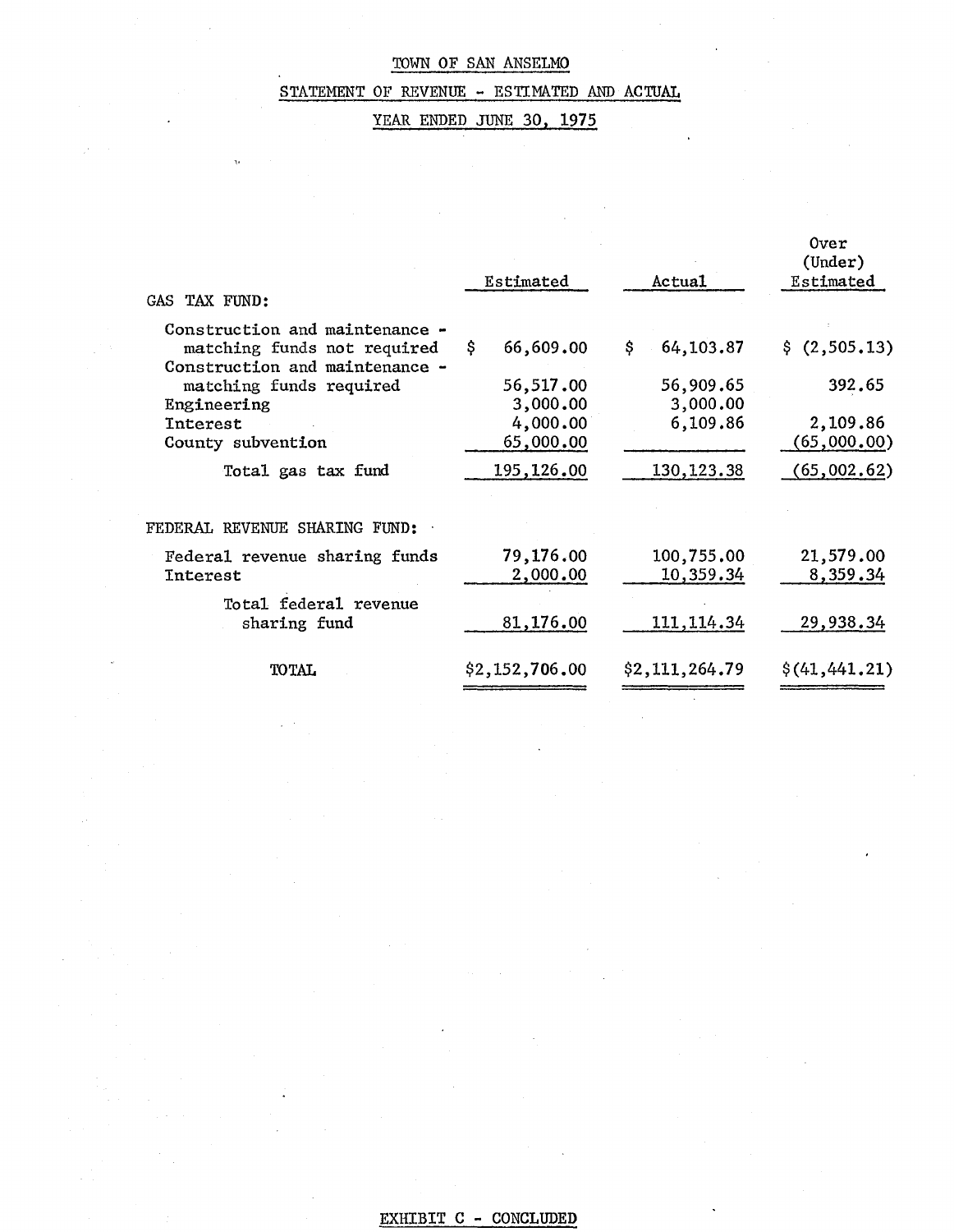# STATEMENT OF REVENUE - ESTIMATED AND ACTUAL

# YEAR ENDED JUNE 30, 1975

| GAS TAX FUND:                                                                                   | Estimated             | Actual                  | Over<br>(Under)<br>Estimated |
|-------------------------------------------------------------------------------------------------|-----------------------|-------------------------|------------------------------|
| Construction and maintenance -<br>matching funds not required<br>Construction and maintenance - | 66,609.00<br>\$.      | 64,103.87<br>\$         | \$(2,505.13)                 |
| matching funds required<br>Engineering                                                          | 56,517.00<br>3,000.00 | 56,909.65<br>3,000.00   | 392.65                       |
| Interest<br>County subvention                                                                   | 4,000.00<br>65,000.00 | 6,109.86                | 2,109.86<br>(65,000,00)      |
| Total gas tax fund                                                                              | 195,126.00            | 130, 123.38             | (65,002.62)                  |
| FEDERAL REVENUE SHARING FUND:                                                                   |                       |                         |                              |
| Federal revenue sharing funds<br>Interest                                                       | 79,176.00<br>2,000.00 | 100,755.00<br>10,359.34 | 21,579.00<br>8,359.34        |
| Total federal revenue<br>sharing fund                                                           | 81,176.00             | 111, 114.34             | 29,938.34                    |
| <b>TOTAL</b>                                                                                    | \$2,152,706.00        | \$2,111,264.79          | $\S(41, 441, 21)$            |

# EXHIBIT C - CONCLUDED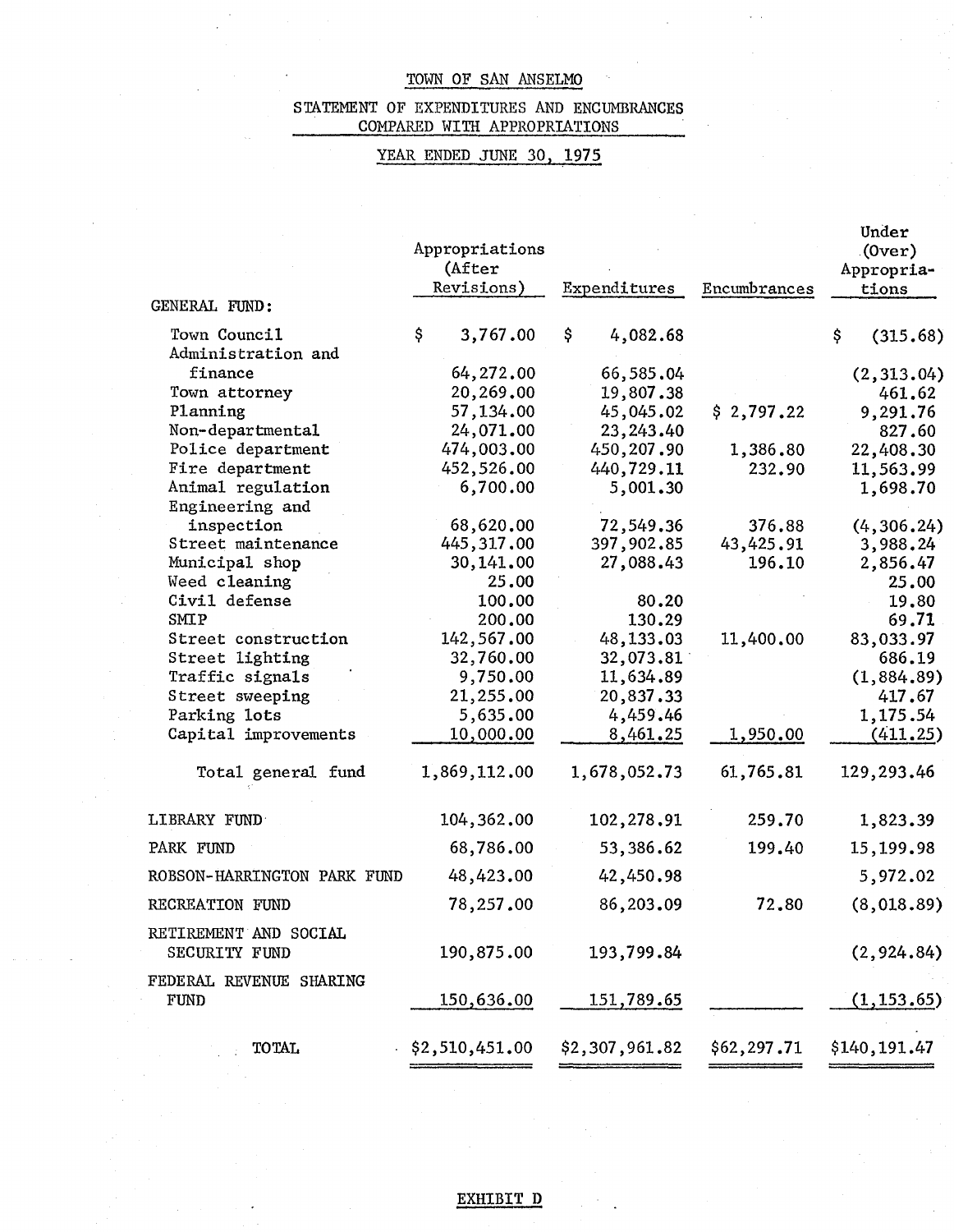### STATEMENT OF EXPENDITURES AND ENCUMBRANCES COMPARED WITH APPROPRIATIONS

# YEAR ENDED JUNE 30, 1975

| GENERAL FUND:                          | Appropriations<br>(After<br>Revisions) | Expenditures   | Encumbrances | Under<br>$(0 \text{ver})$<br>Appropria-<br>tions |
|----------------------------------------|----------------------------------------|----------------|--------------|--------------------------------------------------|
| Town Council                           | \$<br>3,767.00                         | \$<br>4,082.68 |              | \$<br>(315.68)                                   |
| Administration and                     |                                        |                |              |                                                  |
| finance                                | 64,272.00                              | 66,585.04      |              | (2, 313.04)                                      |
| Town attorney                          | 20,269.00                              | 19,807.38      |              | 461.62                                           |
| Planning                               | 57,134.00                              | 45,045.02      | \$2,797.22   | 9,291.76                                         |
| Non-departmental                       | 24,071.00                              | 23, 243.40     |              | 827.60                                           |
| Police department                      | 474,003.00                             | 450,207.90     | 1,386.80     | 22,408.30                                        |
| Fire department                        | 452,526.00                             | 440,729.11     | 232.90       | 11,563.99                                        |
| Animal regulation<br>Engineering and   | 6,700.00                               | 5,001.30       |              | 1,698.70                                         |
| inspection                             | 68,620.00                              | 72,549.36      | 376.88       | (4, 306.24)                                      |
| Street maintenance                     | 445, 317, 00                           | 397,902.85     | 43,425.91    | 3,988.24                                         |
| Municipal shop                         | 30,141.00                              | 27,088.43      | 196.10       | 2,856.47                                         |
| Weed cleaning                          | 25.00                                  |                |              | 25.00                                            |
| Civil defense                          | 100.00                                 | 80.20          |              | 19.80                                            |
| SMIP                                   | 200.00                                 | 130.29         |              | 69.71                                            |
| Street construction                    | 142,567.00                             | 48,133.03      | 11,400.00    | 83,033.97                                        |
| Street lighting                        | 32,760.00                              | 32,073.81      |              | 686.19                                           |
| Traffic signals                        | 9,750.00                               | 11,634.89      |              | (1,884.89)                                       |
| Street sweeping                        | 21,255.00                              | 20,837.33      |              | 417.67                                           |
| Parking lots                           | 5,635.00                               | 4,459.46       |              | 1,175.54                                         |
| Capital improvements                   | 10,000.00                              | 8,461.25       | 1,950.00     | (411.25)                                         |
| Total general fund                     | 1,869,112.00                           | 1,678,052.73   | 61,765.81    | 129,293.46                                       |
| LIBRARY FUND                           | 104,362.00                             | 102,278.91     | 259.70       | 1,823.39                                         |
| PARK FUND                              | 68,786.00                              | 53,386.62      | 199.40       | 15,199.98                                        |
| ROBSON-HARRINGTON PARK FUND            | 48,423.00                              | 42,450.98      |              | 5,972.02                                         |
| RECREATION FUND                        | 78,257.00                              | 86,203.09      | 72.80        | (8,018.89)                                       |
| RETIREMENT AND SOCIAL<br>SECURITY FUND | 190,875.00                             | 193,799.84     |              | (2, 924.84)                                      |
| FEDERAL REVENUE SHARING<br><b>FUND</b> | 150,636.00                             | 151,789.65     |              | (1, 153.65)                                      |
| <b>TOTAL</b>                           | \$2,510,451.00                         | \$2,307,961.82 | \$62,297.71  | \$140,191.47                                     |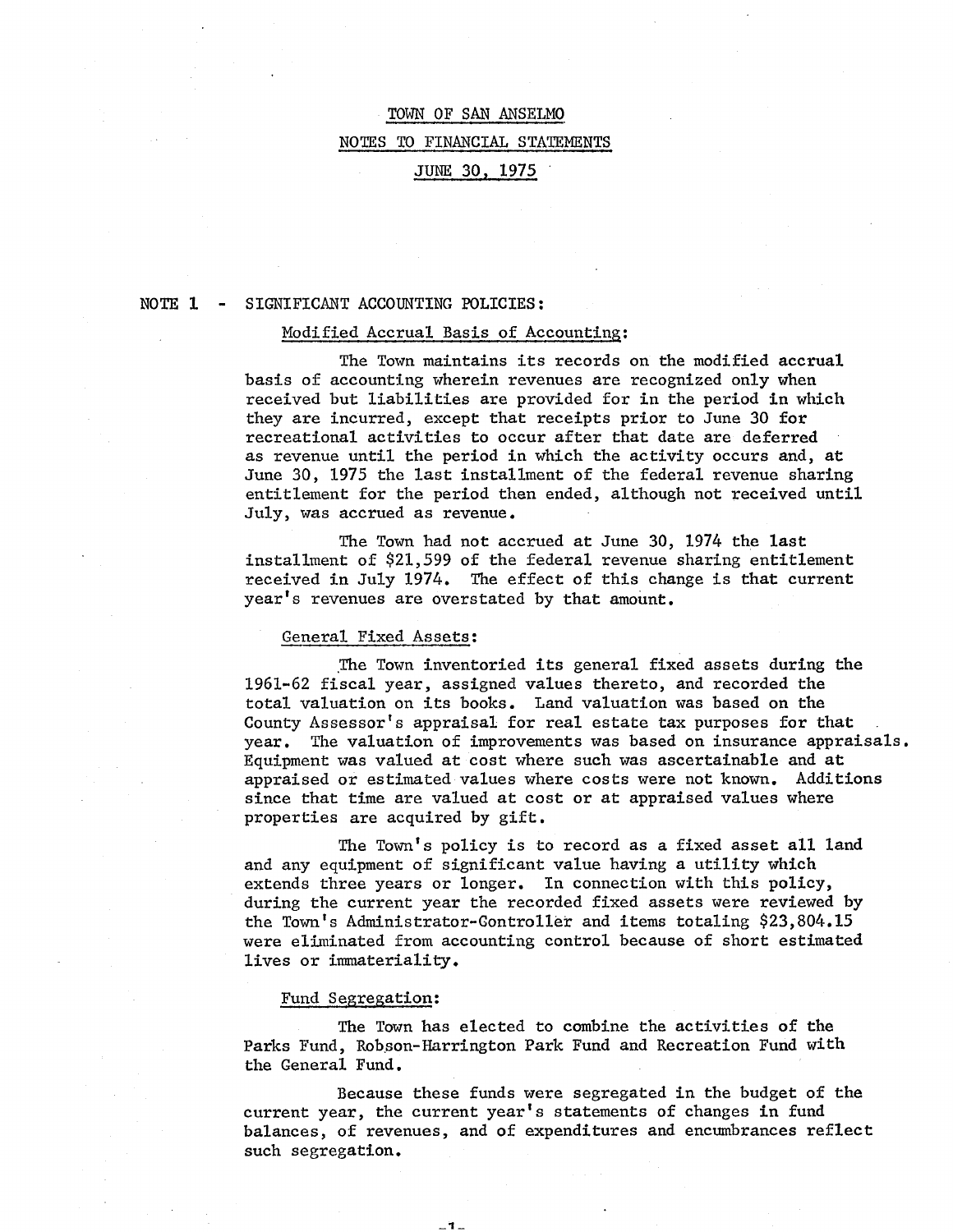# TOWN OF SAN ANSELMO NOTES TO FINANCIAL STATEMENTS JUNE 30, 1975

### NOTE 1 SIGNIFICANT ACCOUNTING POLICIES:

### Modified Accrual Basis of Accounting:

The Town maintains its records on the modified accrual basis of accounting wherein revenues are recognized only when received but liabilities are provided for in the period in which they are incurred, except that receipts prior to June 30 for recreational activities to occur after that date are deferred as revenue until the period in which the activity occurs and, at June 30, 1975 the last installment of the federal revenue sharing entitlement for the period then ended, although not received until July, was accrued as revenue.

The Town had not accrued at June 30, 1974 the last installment of \$21,599 of the federal revenue sharing entitlement received in July 1974. The effect of this change is that current year's revenues are overstated by that amount.

### General Fixed Assets:

The Town inventoried its general fixed assets during the 1961-62 fiscal year, assigned values thereto, and recorded the total valuation on its books. Land valuation was based on the County Assessor's appraisal for real estate tax purposes for that year. The valuation of improvements was based on insurance appraisals. Equipment was valued at cost where such was ascertainable and at appraised or estimated values where costs were not known. Additions since that time are valued at cost or at appraised values where properties are acquired by gift.

The Town's policy is to record as a fixed asset all land and any equipment of significant value having a utility which extends three years or longer. In connection with this policy, during the current year the recorded fixed assets were reviewed by the Town's Administrator-Controller and items totaling \$23,804.15 were eliminated from accounting control because of short estimated lives or immateriality.

### Fund Segregation:

The Town has elected to combine the activities of the Parks Fund, Robson-Harrington Park Fund and Recreation Fund with the General Fund.

 $-1 -$ 

Because these funds were segregated in the budget of the current year, the current year's statements of changes in fund balances, of revenues, and of expenditures and encumbrances reflect such segregation.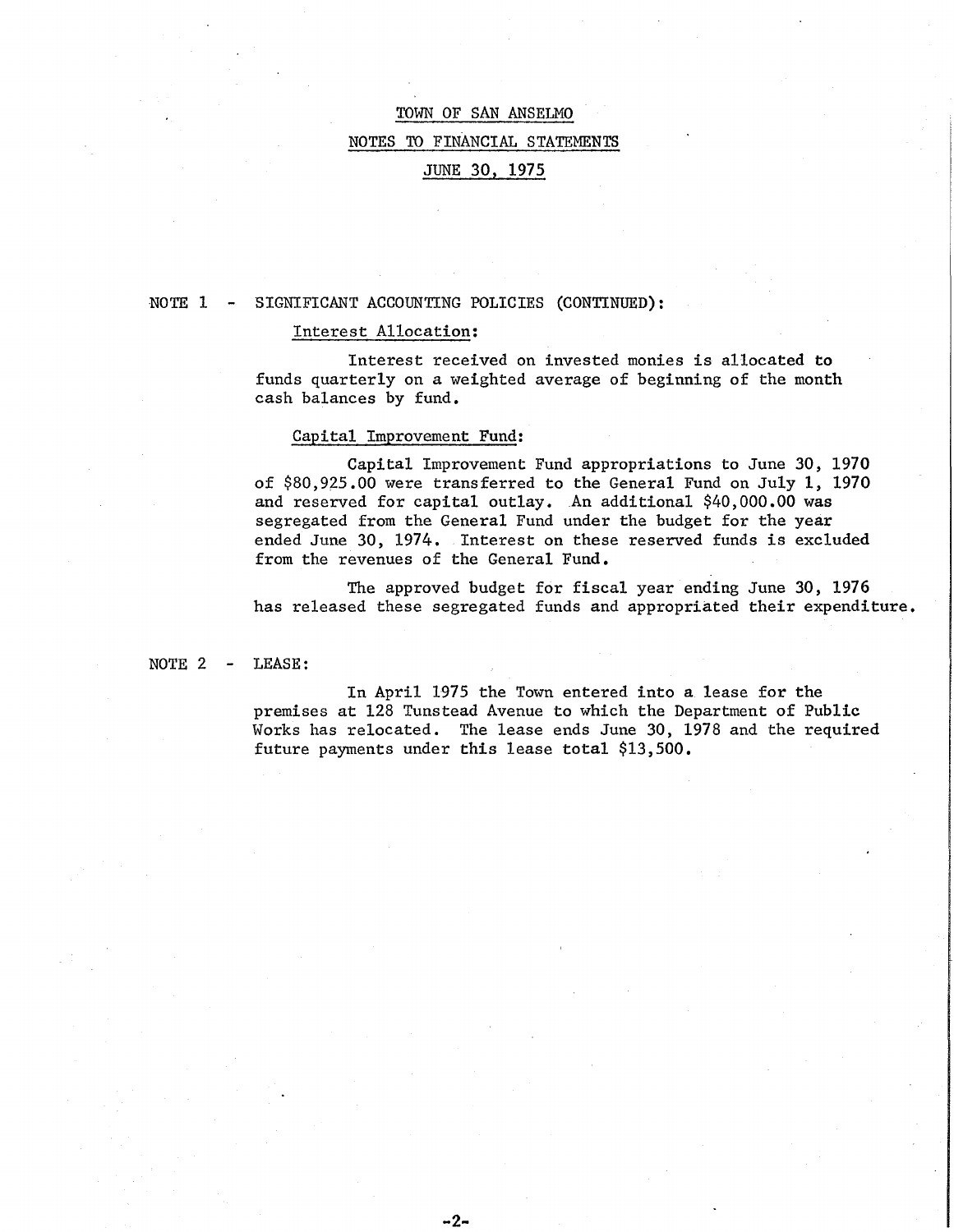# TOWN OF SAN ANSELMO NOTES TO FINANCIAL STATEMENTS JUNE 30, 1975

#### NOTE 1 SIGNIFICANT ACCOUNTING POLICIES (CONTINUED):

### Interest Allocation:

Interest received on invested monies is allocated to funds quarterly on a weighted average of beginning of the month cash balances by fund.

#### Capital Improvement Fund:

Capital Improvement Fund appropriations to June 30, 1970 of \$80,925.00 were transferred to the General Fund on July 1, 1970 and reserved for capital outlay. An additional \$40,000.00 was segregated from the General Fund under the budget for the year ended June 30, 1974. Interest on these reserved funds is excluded from the revenues of the General Fund.

The approved budget for fiscal year ending June 30, 1976 has released these segregated funds and appropriated their expenditure.

NOTE 2 LEASE:

> In April 1975 the Town entered into a lease for the premises at 128 Tunstead Avenue to which the Department of Public Works has relocated. The lease ends June 30, 1978 and the required future payments under this lease total \$13,500.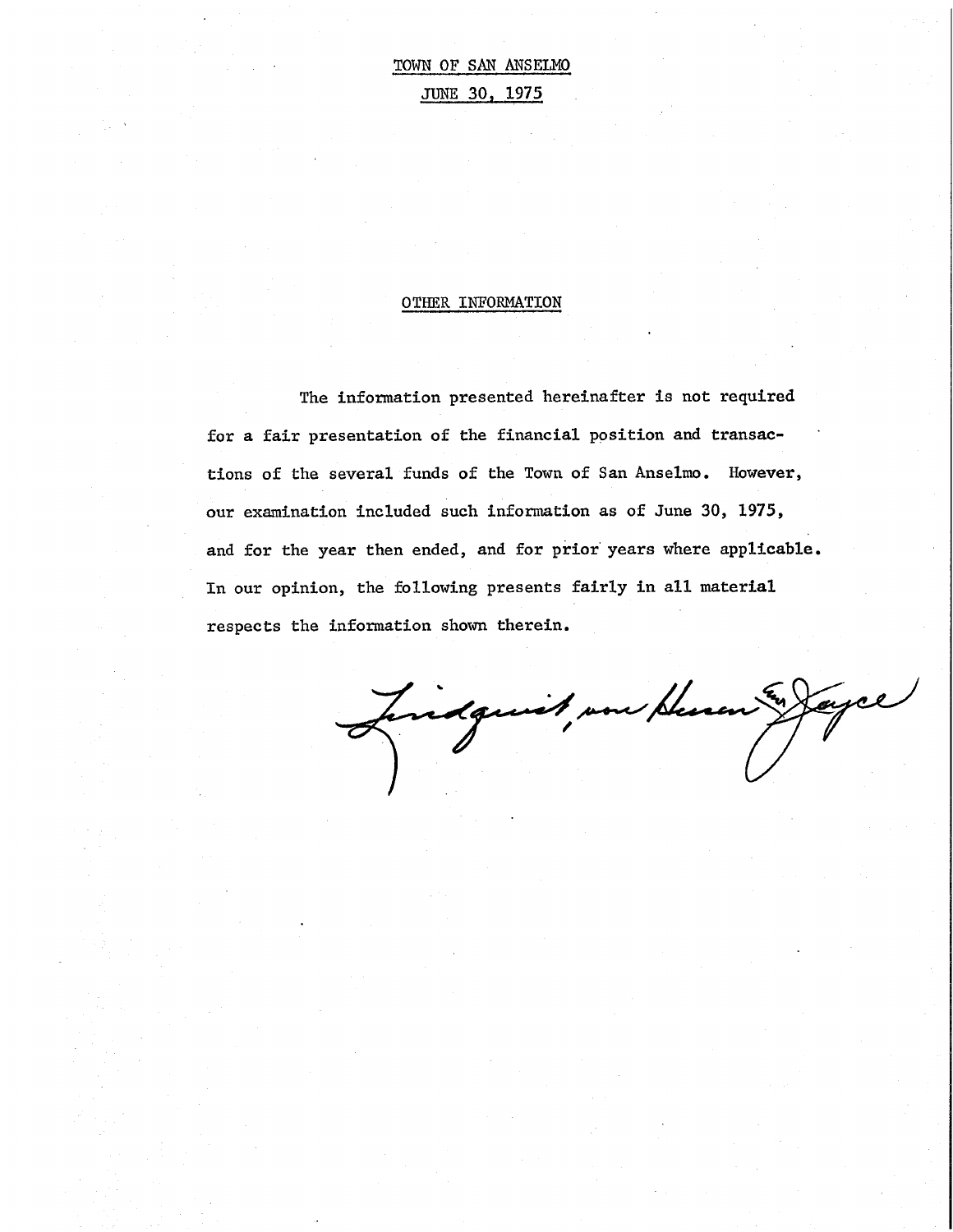# TOWN OF SAN ANSELMO JUNE 30, 1975

### OTHER INFORMATION

The information presented hereinafter is not required for a fair presentation of the financial ppsition and transactions of the several funds of the Town of San Anselmo. However, our examination included such information as of June 30, 1975, and for the year then ended, and for prior years where applicable. In our opinion, the following presents fairly in all material respects the information shown therein •

.. Juidgewit vou Henen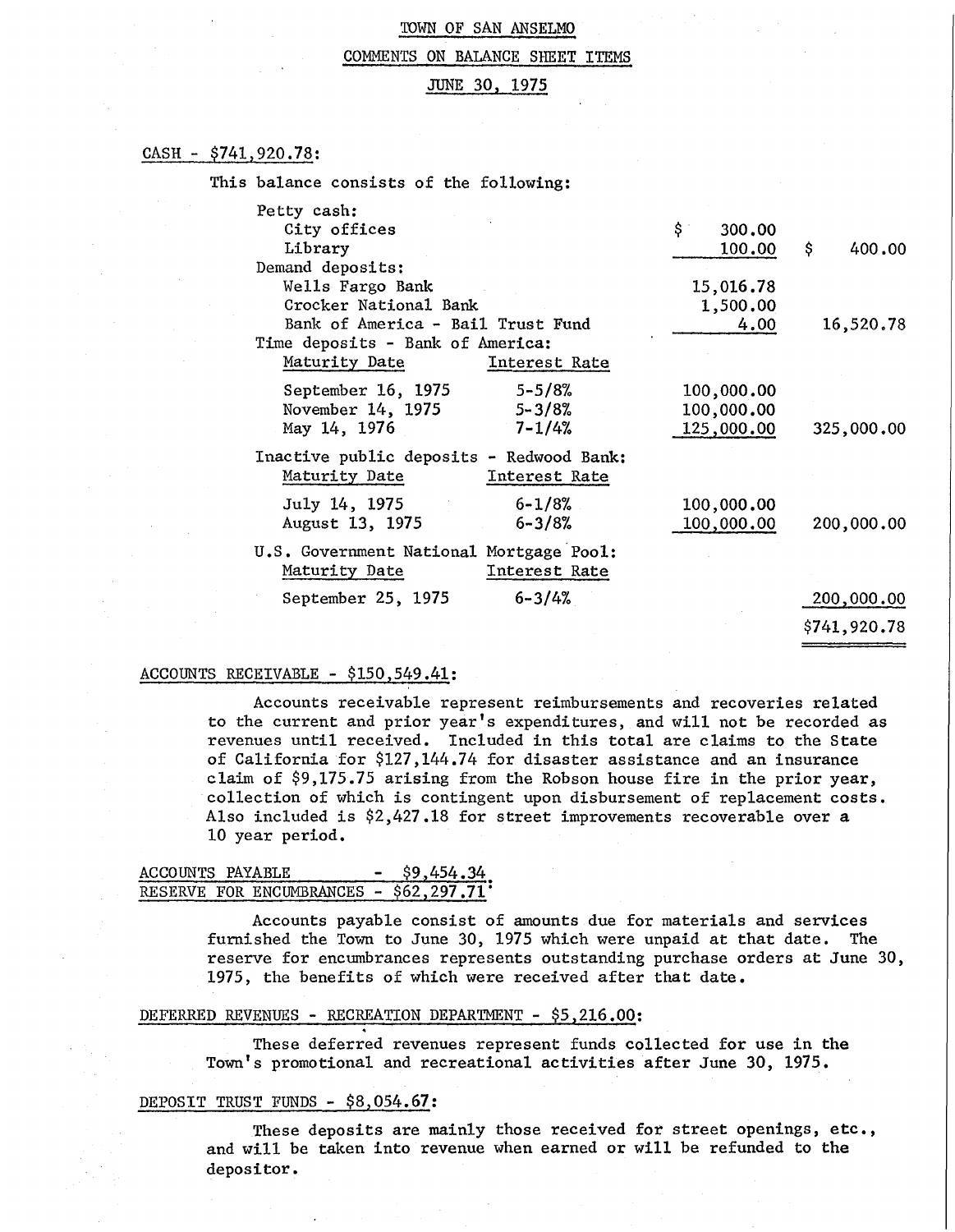#### COMMENTS ON BALANCE SHEET ITEMS

### JUNE 30, 1975

### CASH - \$741,920.78:

| This balance consists of the following:                                                                 |                                        |              |
|---------------------------------------------------------------------------------------------------------|----------------------------------------|--------------|
| Petty cash:<br>City offices<br>Library                                                                  | \$.<br>300,00<br>100.00                | \$<br>400.00 |
| Demand deposits:<br>Wells Fargo Bank<br>Crocker National Bank                                           | 15,016.78<br>1,500.00                  |              |
| Bank of America - Bail Trust Fund<br>Time deposits - Bank of America:<br>Maturity Date<br>Interest Rate | 4.00                                   | 16,520.78    |
| $5 - 5/8%$<br>September 16, 1975<br>November 14, 1975<br>$5 - 3/8%$<br>$7 - 1/4%$<br>May 14, 1976       | 100,000.00<br>100,000.00<br>125,000.00 | 325,000.00   |
| Inactive public deposits - Redwood Bank:<br>Maturity Date<br>Interest Rate                              |                                        |              |
| $6 - 1/8%$<br>July 14, 1975<br>$6 - 3/8%$<br>August 13, 1975                                            | 100,000.00<br>100,000.00               | 200,000.00   |
| U.S. Government National Mortgage Pool:<br>Maturity Date<br>Interest Rate                               |                                        |              |
| $6 - 3/4%$<br>September 25, 1975                                                                        |                                        | 200,000.00   |
|                                                                                                         |                                        | \$741,920.78 |

### ACCOUNTS RECEIVABLE - \$150,549.41:

Accounts receivable represent reimbursements and recoveries related to the current and prior year's expenditures, and will not be recorded as revenues until received. Included in this total are claims to the State of California for \$127,144.74 for disaster assistance and an insurance claim of \$9,175.75 arising from the Robson house fire in the prior year, collection of which is contingent upon disbursement of replacement costs. Also included is  $$2,427.18$  for street improvements recoverable over a 10 year period.

### ACCOUNTS PAYABLE - \$9,454.34 RESERVE FOR ENCUMBRANCES - \$62,297.71

Accounts payable consist of amounts due for materials and services furnished the Town to June 30, 1975 which were unpaid at that date. The reserve for encumbrances represents outstanding purchase orders at June 30, 1975, the benefits of which were received after that date.

### DEFERRED REVENUES - RECREATION DEPARTMENT - \$5,216.00:

These deferred revenues represent funds collected for use in the Town's promotional and recreational activities after June 30, 1975.

### DEPOSIT TRUST FUNDS - \$8,054.67:

These deposits are mainly those received for street openings, etc., and will be taken into revenue when earned or will be refunded to the depositor.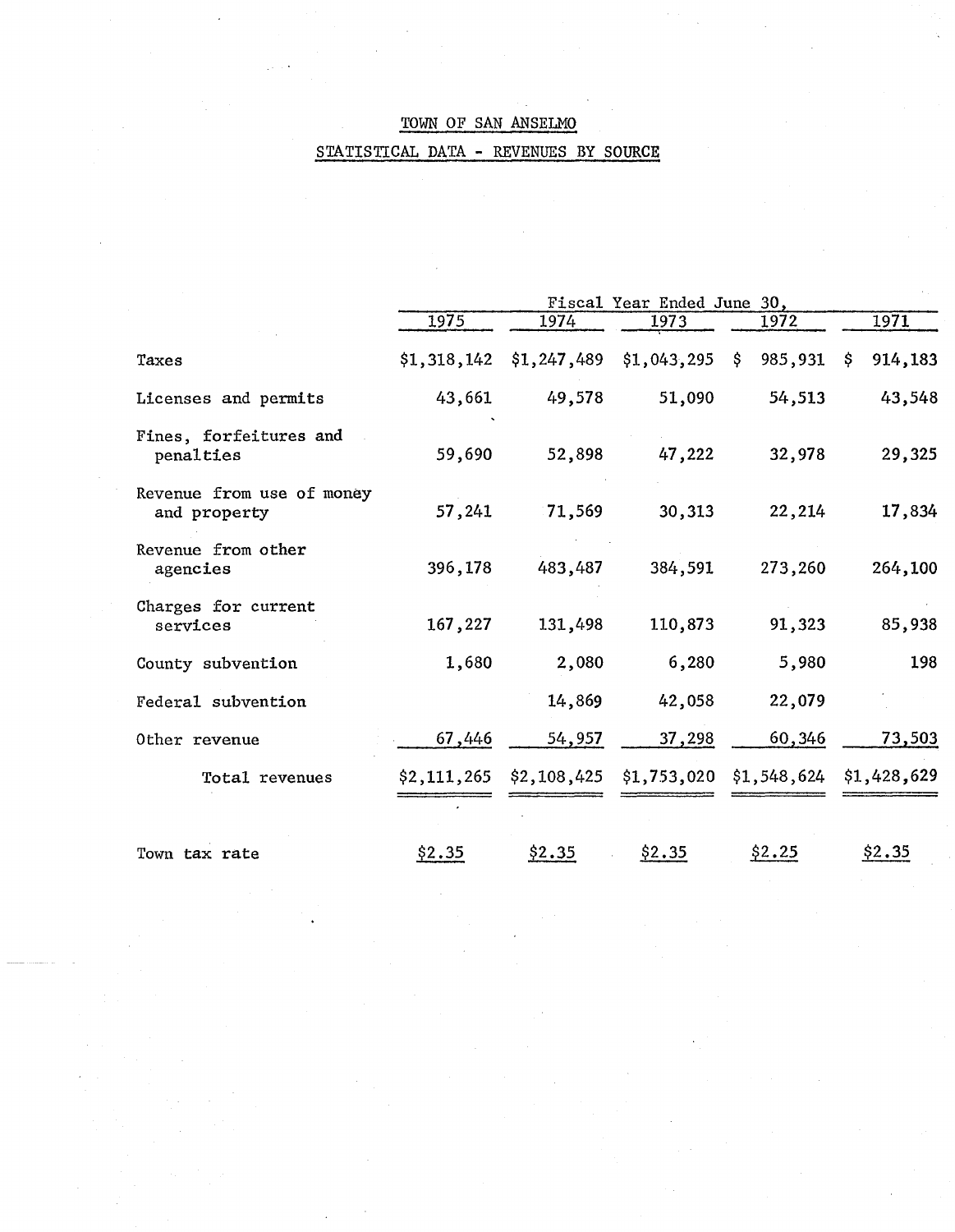# STATISTICAL DATA - REVENUES BY SOURCE

|                                           | Fiscal Year Ended June 30, |         |                                                     |         |                |
|-------------------------------------------|----------------------------|---------|-----------------------------------------------------|---------|----------------|
|                                           | 1975                       | 1974    | 1973                                                | 1972    | 1971           |
| Taxes                                     | \$1,318,142                |         | $$1,247,489$ $$1,043,295$ \$                        | 985,931 | 914,183<br>\$. |
| Licenses and permits                      | 43,661                     | 49,578  | 51,090                                              | 54,513  | 43,548         |
| Fines, forfeitures and<br>penalties       | 59,690                     | 52,898  | 47,222                                              | 32,978  | 29,325         |
| Revenue from use of money<br>and property | 57,241                     | 71,569  | 30,313                                              | 22,214  | 17,834         |
| Revenue from other<br>agencies            | 396,178                    | 483,487 | 384,591                                             | 273,260 | 264,100        |
| Charges for current<br>services           | 167,227                    | 131,498 | 110,873                                             | 91,323  | 85,938         |
| County subvention                         | 1,680                      | 2,080   | 6,280                                               | 5,980   | 198            |
| Federal subvention                        |                            | 14,869  | 42,058                                              | 22,079  |                |
| Other revenue                             | 67,446                     | 54,957  | 37,298                                              | 60,346  | 73,503         |
| Total revenues                            |                            |         | $$2,111,265$ $$2,108,425$ $$1,753,020$ $$1,548,624$ |         | \$1,428,629    |
|                                           |                            |         |                                                     |         |                |
| Town tax rate                             | \$2.35                     | \$2.35  | \$2.35                                              | \$2.25  | \$2,35         |